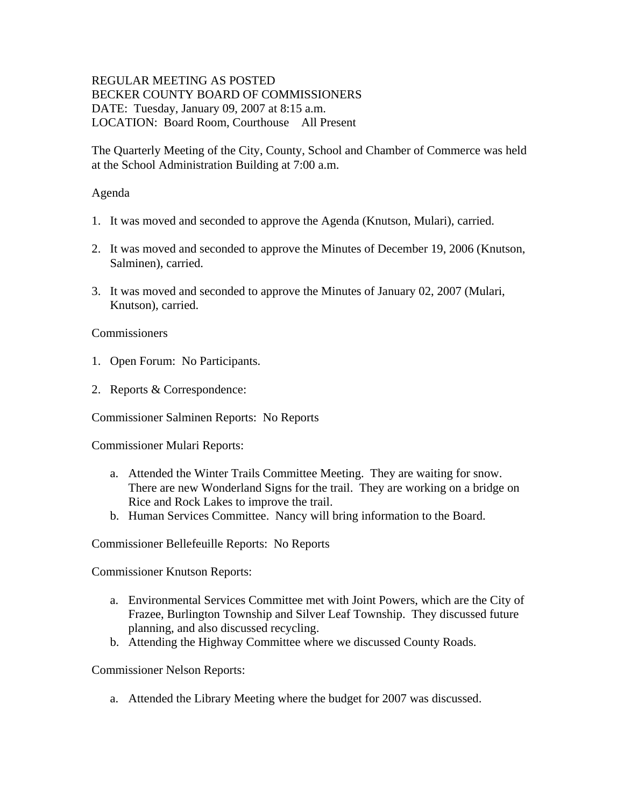# REGULAR MEETING AS POSTED BECKER COUNTY BOARD OF COMMISSIONERS DATE: Tuesday, January 09, 2007 at 8:15 a.m. LOCATION: Board Room, Courthouse All Present

The Quarterly Meeting of the City, County, School and Chamber of Commerce was held at the School Administration Building at 7:00 a.m.

#### Agenda

- 1. It was moved and seconded to approve the Agenda (Knutson, Mulari), carried.
- 2. It was moved and seconded to approve the Minutes of December 19, 2006 (Knutson, Salminen), carried.
- 3. It was moved and seconded to approve the Minutes of January 02, 2007 (Mulari, Knutson), carried.

#### **Commissioners**

- 1. Open Forum: No Participants.
- 2. Reports & Correspondence:

Commissioner Salminen Reports: No Reports

Commissioner Mulari Reports:

- a. Attended the Winter Trails Committee Meeting. They are waiting for snow. There are new Wonderland Signs for the trail. They are working on a bridge on Rice and Rock Lakes to improve the trail.
- b. Human Services Committee. Nancy will bring information to the Board.

Commissioner Bellefeuille Reports: No Reports

Commissioner Knutson Reports:

- a. Environmental Services Committee met with Joint Powers, which are the City of Frazee, Burlington Township and Silver Leaf Township. They discussed future planning, and also discussed recycling.
- b. Attending the Highway Committee where we discussed County Roads.

Commissioner Nelson Reports:

a. Attended the Library Meeting where the budget for 2007 was discussed.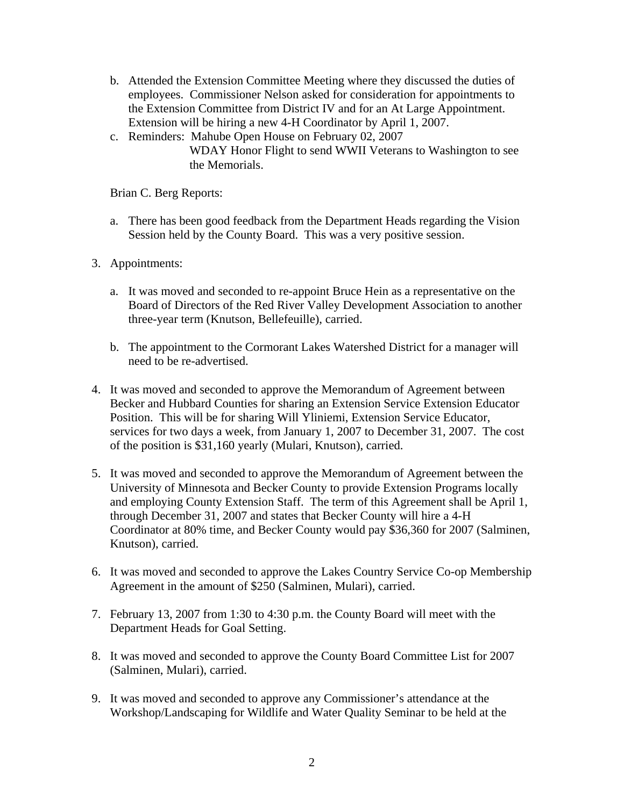- b. Attended the Extension Committee Meeting where they discussed the duties of employees. Commissioner Nelson asked for consideration for appointments to the Extension Committee from District IV and for an At Large Appointment. Extension will be hiring a new 4-H Coordinator by April 1, 2007.
- c. Reminders: Mahube Open House on February 02, 2007 WDAY Honor Flight to send WWII Veterans to Washington to see the Memorials.

Brian C. Berg Reports:

- a. There has been good feedback from the Department Heads regarding the Vision Session held by the County Board. This was a very positive session.
- 3. Appointments:
	- a. It was moved and seconded to re-appoint Bruce Hein as a representative on the Board of Directors of the Red River Valley Development Association to another three-year term (Knutson, Bellefeuille), carried.
	- b. The appointment to the Cormorant Lakes Watershed District for a manager will need to be re-advertised.
- 4. It was moved and seconded to approve the Memorandum of Agreement between Becker and Hubbard Counties for sharing an Extension Service Extension Educator Position. This will be for sharing Will Yliniemi, Extension Service Educator, services for two days a week, from January 1, 2007 to December 31, 2007. The cost of the position is \$31,160 yearly (Mulari, Knutson), carried.
- 5. It was moved and seconded to approve the Memorandum of Agreement between the University of Minnesota and Becker County to provide Extension Programs locally and employing County Extension Staff. The term of this Agreement shall be April 1, through December 31, 2007 and states that Becker County will hire a 4-H Coordinator at 80% time, and Becker County would pay \$36,360 for 2007 (Salminen, Knutson), carried.
- 6. It was moved and seconded to approve the Lakes Country Service Co-op Membership Agreement in the amount of \$250 (Salminen, Mulari), carried.
- 7. February 13, 2007 from 1:30 to 4:30 p.m. the County Board will meet with the Department Heads for Goal Setting.
- 8. It was moved and seconded to approve the County Board Committee List for 2007 (Salminen, Mulari), carried.
- 9. It was moved and seconded to approve any Commissioner's attendance at the Workshop/Landscaping for Wildlife and Water Quality Seminar to be held at the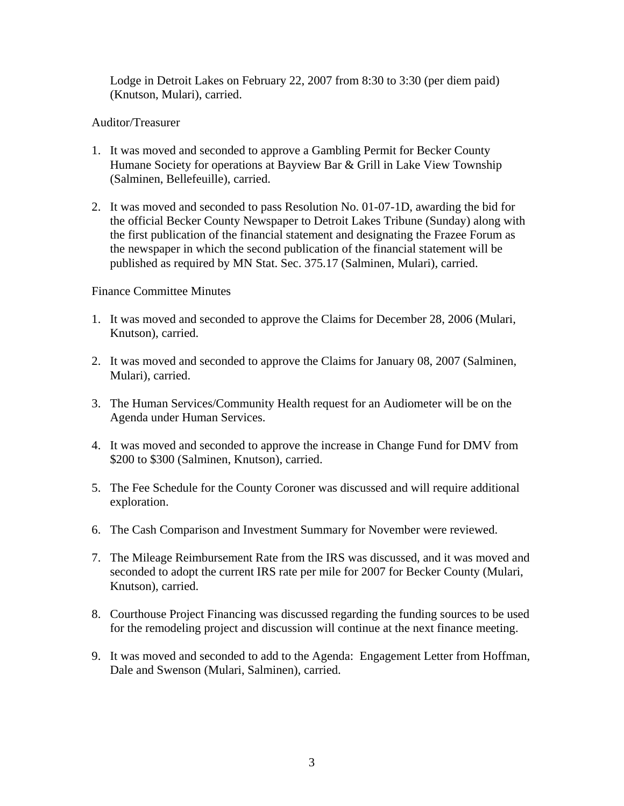Lodge in Detroit Lakes on February 22, 2007 from 8:30 to 3:30 (per diem paid) (Knutson, Mulari), carried.

# Auditor/Treasurer

- 1. It was moved and seconded to approve a Gambling Permit for Becker County Humane Society for operations at Bayview Bar & Grill in Lake View Township (Salminen, Bellefeuille), carried.
- 2. It was moved and seconded to pass Resolution No. 01-07-1D, awarding the bid for the official Becker County Newspaper to Detroit Lakes Tribune (Sunday) along with the first publication of the financial statement and designating the Frazee Forum as the newspaper in which the second publication of the financial statement will be published as required by MN Stat. Sec. 375.17 (Salminen, Mulari), carried.

# Finance Committee Minutes

- 1. It was moved and seconded to approve the Claims for December 28, 2006 (Mulari, Knutson), carried.
- 2. It was moved and seconded to approve the Claims for January 08, 2007 (Salminen, Mulari), carried.
- 3. The Human Services/Community Health request for an Audiometer will be on the Agenda under Human Services.
- 4. It was moved and seconded to approve the increase in Change Fund for DMV from \$200 to \$300 (Salminen, Knutson), carried.
- 5. The Fee Schedule for the County Coroner was discussed and will require additional exploration.
- 6. The Cash Comparison and Investment Summary for November were reviewed.
- 7. The Mileage Reimbursement Rate from the IRS was discussed, and it was moved and seconded to adopt the current IRS rate per mile for 2007 for Becker County (Mulari, Knutson), carried.
- 8. Courthouse Project Financing was discussed regarding the funding sources to be used for the remodeling project and discussion will continue at the next finance meeting.
- 9. It was moved and seconded to add to the Agenda: Engagement Letter from Hoffman, Dale and Swenson (Mulari, Salminen), carried.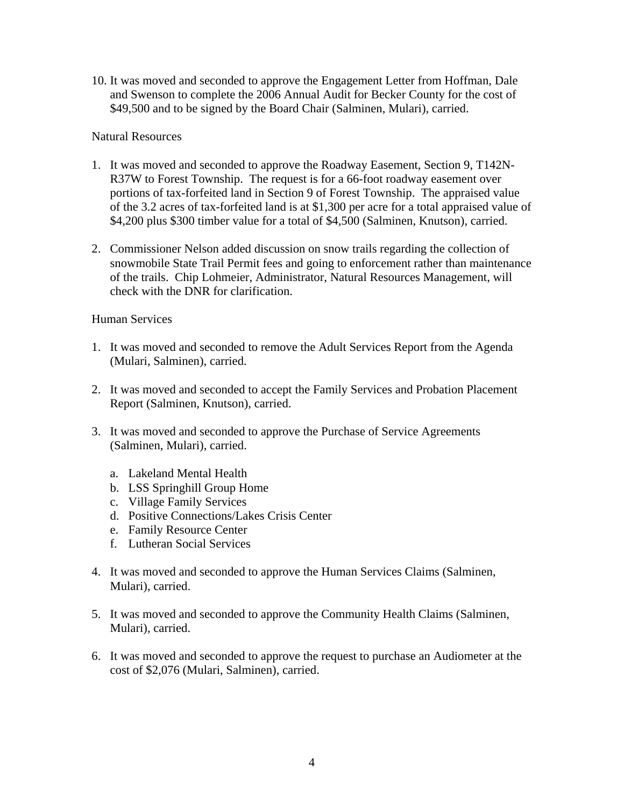10. It was moved and seconded to approve the Engagement Letter from Hoffman, Dale and Swenson to complete the 2006 Annual Audit for Becker County for the cost of \$49,500 and to be signed by the Board Chair (Salminen, Mulari), carried.

#### Natural Resources

- 1. It was moved and seconded to approve the Roadway Easement, Section 9, T142N-R37W to Forest Township. The request is for a 66-foot roadway easement over portions of tax-forfeited land in Section 9 of Forest Township. The appraised value of the 3.2 acres of tax-forfeited land is at \$1,300 per acre for a total appraised value of \$4,200 plus \$300 timber value for a total of \$4,500 (Salminen, Knutson), carried.
- 2. Commissioner Nelson added discussion on snow trails regarding the collection of snowmobile State Trail Permit fees and going to enforcement rather than maintenance of the trails. Chip Lohmeier, Administrator, Natural Resources Management, will check with the DNR for clarification.

# Human Services

- 1. It was moved and seconded to remove the Adult Services Report from the Agenda (Mulari, Salminen), carried.
- 2. It was moved and seconded to accept the Family Services and Probation Placement Report (Salminen, Knutson), carried.
- 3. It was moved and seconded to approve the Purchase of Service Agreements (Salminen, Mulari), carried.
	- a. Lakeland Mental Health
	- b. LSS Springhill Group Home
	- c. Village Family Services
	- d. Positive Connections/Lakes Crisis Center
	- e. Family Resource Center
	- f. Lutheran Social Services
- 4. It was moved and seconded to approve the Human Services Claims (Salminen, Mulari), carried.
- 5. It was moved and seconded to approve the Community Health Claims (Salminen, Mulari), carried.
- 6. It was moved and seconded to approve the request to purchase an Audiometer at the cost of \$2,076 (Mulari, Salminen), carried.